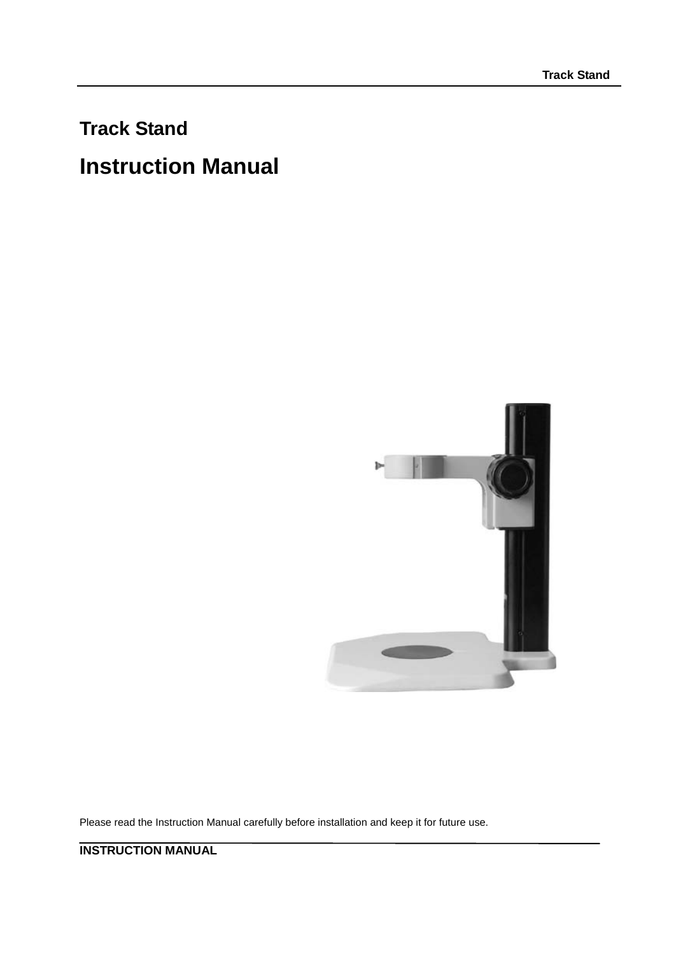# **Track Stand**

# **Instruction Manual**



Please read the Instruction Manual carefully before installation and keep it for future use.

**INSTRUCTION MANUAL**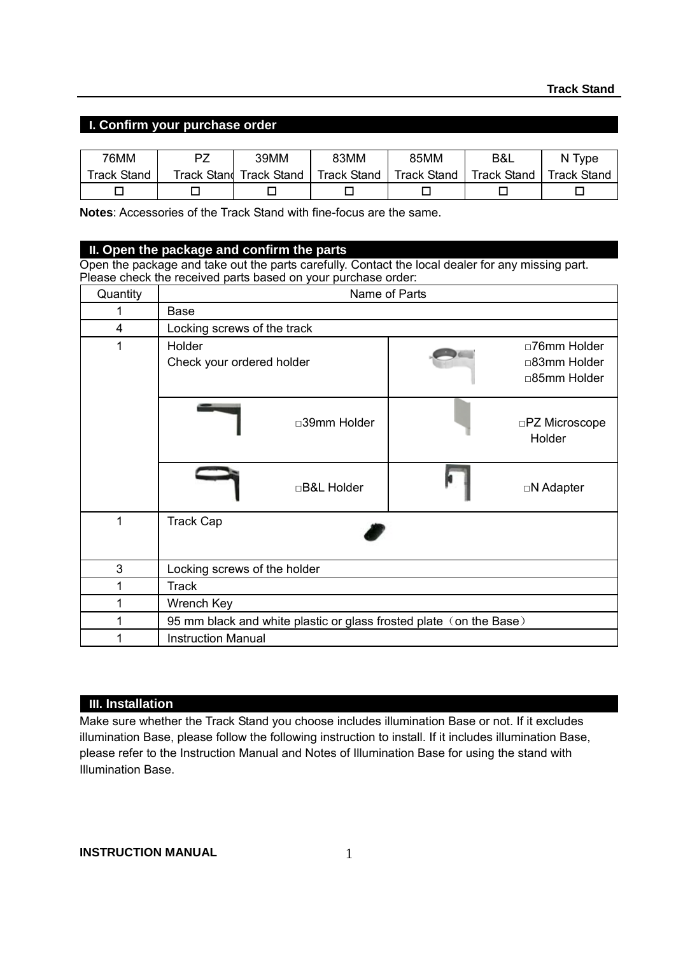### **I. Confirm your purchase order**

| 76MM               | P7 | 39MM                    | 83MM        | 85MM               | B&L                | N Type             |
|--------------------|----|-------------------------|-------------|--------------------|--------------------|--------------------|
| <b>Track Stand</b> |    | Track Stand Track Stand | Track Stand | <b>Track Stand</b> | <b>Track Stand</b> | <b>Track Stand</b> |
|                    |    |                         |             |                    |                    |                    |

**Notes**: Accessories of the Track Stand with fine-focus are the same.

## **II. Open the package and confirm the parts**

Open the package and take out the parts carefully. Contact the local dealer for any missing part. Please check the received parts based on your purchase order:

| Quantity | Name of Parts                                                      |  |                                              |  |  |  |
|----------|--------------------------------------------------------------------|--|----------------------------------------------|--|--|--|
| 1        | Base                                                               |  |                                              |  |  |  |
| 4        | Locking screws of the track                                        |  |                                              |  |  |  |
| 1        | Holder<br>Check your ordered holder                                |  | □76mm Holder<br>□83mm Holder<br>□85mm Holder |  |  |  |
|          | □39mm Holder                                                       |  | □PZ Microscope<br>Holder                     |  |  |  |
|          | □B&L Holder                                                        |  | □N Adapter                                   |  |  |  |
| 1        | <b>Track Cap</b>                                                   |  |                                              |  |  |  |
| 3        | Locking screws of the holder                                       |  |                                              |  |  |  |
| 1        | <b>Track</b>                                                       |  |                                              |  |  |  |
| 1        | Wrench Key                                                         |  |                                              |  |  |  |
| 1        | 95 mm black and white plastic or glass frosted plate (on the Base) |  |                                              |  |  |  |
| 1        | <b>Instruction Manual</b>                                          |  |                                              |  |  |  |

#### **III. Installation**

Make sure whether the Track Stand you choose includes illumination Base or not. If it excludes illumination Base, please follow the following instruction to install. If it includes illumination Base, please refer to the Instruction Manual and Notes of Illumination Base for using the stand with Illumination Base.